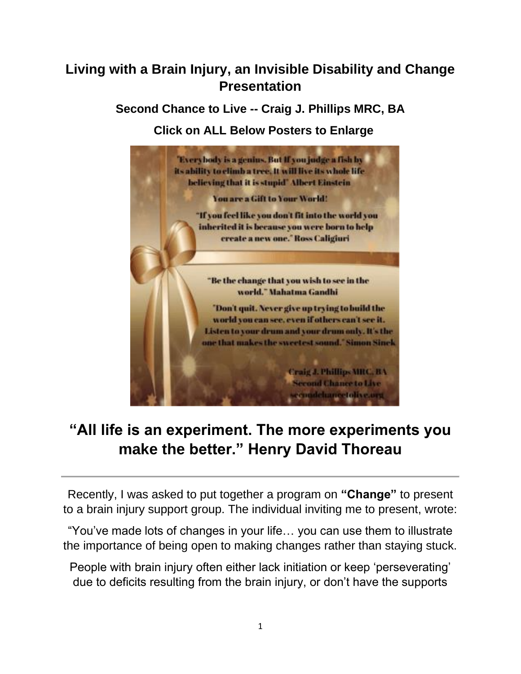### **Living with a Brain Injury, an Invisible Disability and Change Presentation**

**Second Chance to Live -- Craig J. Phillips MRC, BA**

### **Click on ALL Below Posters to Enlarge**



# **"All life is an experiment. The more experiments you make the better." Henry David Thoreau**

Recently, I was asked to put together a program on **"Change"** to present to a brain injury support group. The individual inviting me to present, wrote:

"You've made lots of changes in your life… you can use them to illustrate the importance of being open to making changes rather than staying stuck.

People with brain injury often either lack initiation or keep 'perseverating' due to deficits resulting from the brain injury, or don't have the supports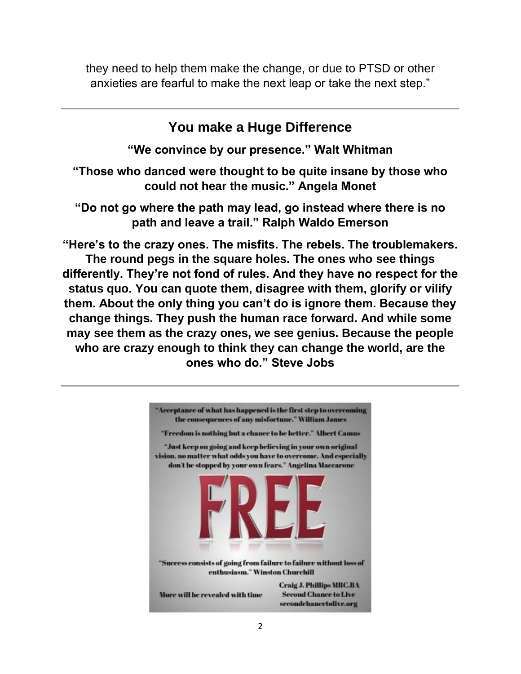they need to help them make the change, or due to PTSD or other anxieties are fearful to make the next leap or take the next step."

## **You make a Huge Difference**

**"We convince by our presence." Walt Whitman**

**"Those who danced were thought to be quite insane by those who could not hear the music." Angela Monet**

**"Do not go where the path may lead, go instead where there is no path and leave a trail." Ralph Waldo Emerson**

**"Here's to the crazy ones. The misfits. The rebels. The troublemakers. The round pegs in the square holes. The ones who see things differently. They're not fond of rules. And they have no respect for the status quo. You can quote them, disagree with them, glorify or vilify them. About the only thing you can't do is ignore them. Because they change things. They push the human race forward. And while some may see them as the crazy ones, we see genius. Because the people who are crazy enough to think they can change the world, are the ones who do." Steve Jobs**

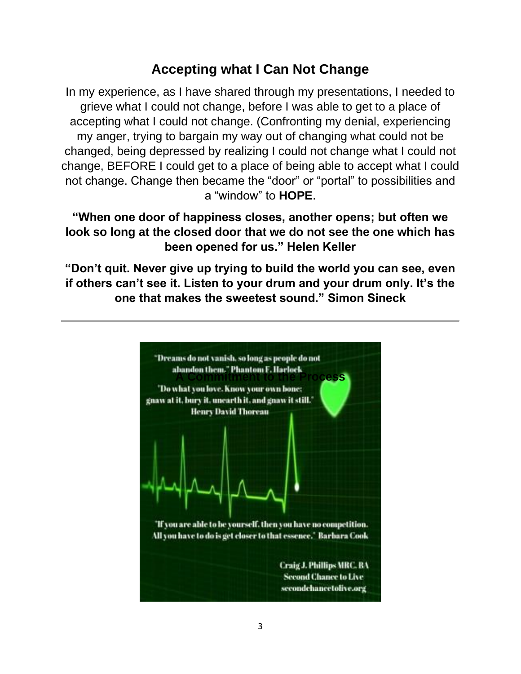### **Accepting what I Can Not Change**

In my experience, as I have shared through my presentations, I needed to grieve what I could not change, before I was able to get to a place of accepting what I could not change. (Confronting my denial, experiencing my anger, trying to bargain my way out of changing what could not be changed, being depressed by realizing I could not change what I could not change, BEFORE I could get to a place of being able to accept what I could not change. Change then became the "door" or "portal" to possibilities and a "window" to **HOPE**.

#### **"When one door of happiness closes, another opens; but often we look so long at the closed door that we do not see the one which has been opened for us." Helen Keller**

**"Don't quit. Never give up trying to build the world you can see, even if others can't see it. Listen to your drum and your drum only. It's the one that makes the sweetest sound." Simon Sineck**

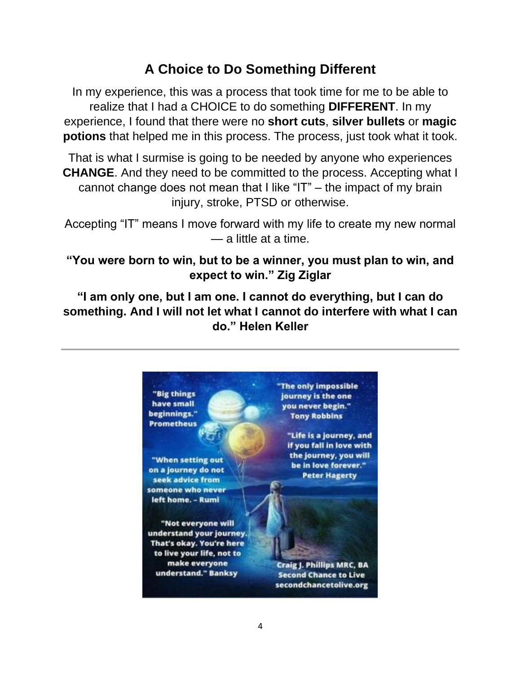## **A Choice to Do Something Different**

In my experience, this was a process that took time for me to be able to realize that I had a CHOICE to do something **DIFFERENT**. In my experience, I found that there were no **short cuts**, **silver bullets** or **magic potions** that helped me in this process. The process, just took what it took.

That is what I surmise is going to be needed by anyone who experiences **CHANGE**. And they need to be committed to the process. Accepting what I cannot change does not mean that I like "IT" – the impact of my brain injury, stroke, PTSD or otherwise.

Accepting "IT" means I move forward with my life to create my new normal — a little at a time.

**"You were born to win, but to be a winner, you must plan to win, and expect to win." Zig Ziglar**

**"I am only one, but I am one. I cannot do everything, but I can do something. And I will not let what I cannot do interfere with what I can do." Helen Keller**

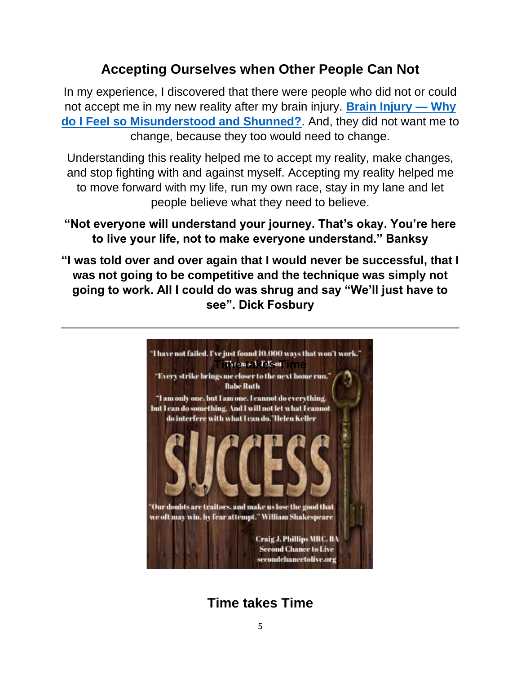## **Accepting Ourselves when Other People Can Not**

In my experience, I discovered that there were people who did not or could not accept me in my new reality after my brain injury. **[Brain Injury —](https://secondchancetolive.org/2016/07/02/brain-injury-feel-misunderstood-shunned/) Why [do I Feel so Misunderstood and Shunned?](https://secondchancetolive.org/2016/07/02/brain-injury-feel-misunderstood-shunned/)**. And, they did not want me to change, because they too would need to change.

Understanding this reality helped me to accept my reality, make changes, and stop fighting with and against myself. Accepting my reality helped me to move forward with my life, run my own race, stay in my lane and let people believe what they need to believe.

**"Not everyone will understand your journey. That's okay. You're here to live your life, not to make everyone understand." Banksy**

**"I was told over and over again that I would never be successful, that I was not going to be competitive and the technique was simply not going to work. All I could do was shrug and say "We'll just have to see". Dick Fosbury**



**Time takes Time**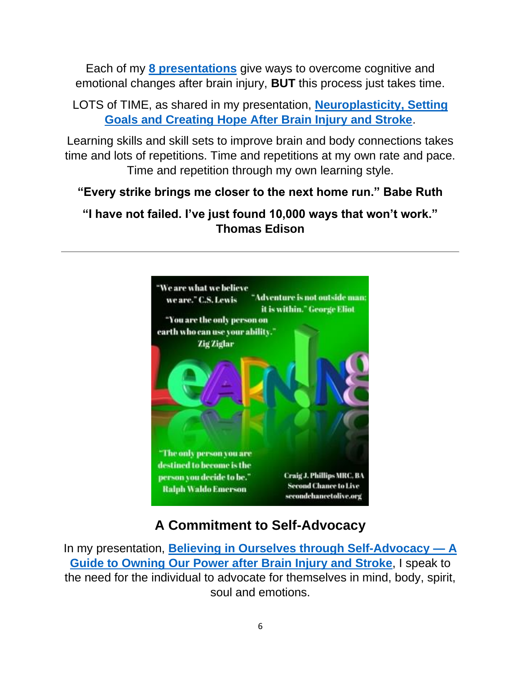Each of my **[8 presentations](https://secondchancetolive.org/brain-injury-support-keynote-presentations-through-zoom/)** give ways to overcome cognitive and emotional changes after brain injury, **BUT** this process just takes time.

LOTS of TIME, as shared in my presentation, **[Neuroplasticity, Setting](https://secondchancetolive.org/wp-content/uploads/2022/02/Neuroplasticity-Setting-Goals-and-Creating-Hope-After-Brain-Injury-and-Stroke-Power-Point-Presentation-February-16-2022-1.pdf)  [Goals and Creating Hope After Brain Injury and Stroke](https://secondchancetolive.org/wp-content/uploads/2022/02/Neuroplasticity-Setting-Goals-and-Creating-Hope-After-Brain-Injury-and-Stroke-Power-Point-Presentation-February-16-2022-1.pdf)**.

Learning skills and skill sets to improve brain and body connections takes time and lots of repetitions. Time and repetitions at my own rate and pace. Time and repetition through my own learning style.

**"Every strike brings me closer to the next home run." Babe Ruth**

**"I have not failed. I've just found 10,000 ways that won't work." Thomas Edison**



# **A Commitment to Self-Advocacy**

In my presentation, **[Believing in Ourselves through Self-Advocacy —](https://secondchancetolive.org/wp-content/uploads/2022/03/Believing-in-Ourselves-through-Self-Advocacy-Owning-Our-Power-Presentation-Craig-J.-Philllips-MRC-BA-4.pdf) A [Guide to Owning Our Power after Brain Injury and Stroke](https://secondchancetolive.org/wp-content/uploads/2022/03/Believing-in-Ourselves-through-Self-Advocacy-Owning-Our-Power-Presentation-Craig-J.-Philllips-MRC-BA-4.pdf)**, I speak to the need for the individual to advocate for themselves in mind, body, spirit, soul and emotions.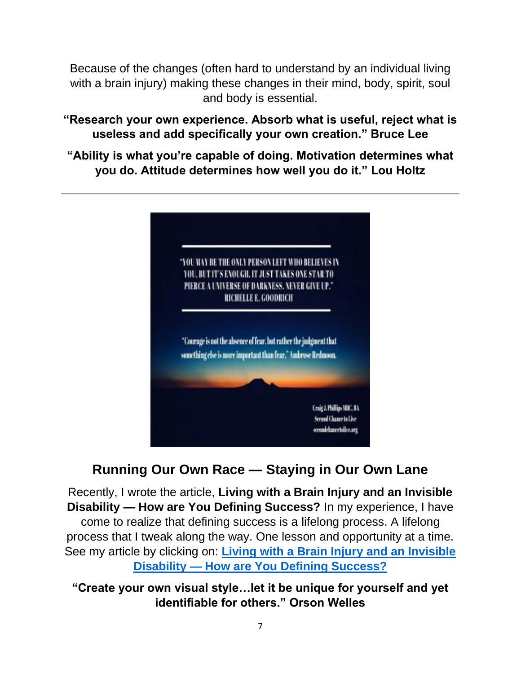Because of the changes (often hard to understand by an individual living with a brain injury) making these changes in their mind, body, spirit, soul and body is essential.

#### **"Research your own experience. Absorb what is useful, reject what is useless and add specifically your own creation." Bruce Lee**

**"Ability is what you're capable of doing. Motivation determines what you do. Attitude determines how well you do it." Lou Holtz**



## **Running Our Own Race — Staying in Our Own Lane**

Recently, I wrote the article, **Living with a Brain Injury and an Invisible Disability — How are You Defining Success?** In my experience, I have come to realize that defining success is a lifelong process. A lifelong process that I tweak along the way. One lesson and opportunity at a time. See my article by clicking on: **[Living with a Brain Injury and an Invisible](https://secondchancetolive.org/2022/05/11/living-with-a-brain-injury-and-an-invisible-disability-how-are-you-defining-success/)  Disability — [How are You Defining Success?](https://secondchancetolive.org/2022/05/11/living-with-a-brain-injury-and-an-invisible-disability-how-are-you-defining-success/)**

**"Create your own visual style…let it be unique for yourself and yet identifiable for others." Orson Welles**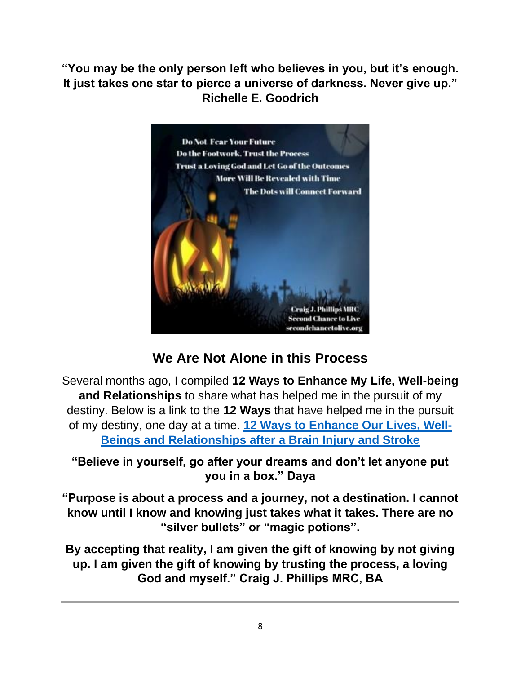**"You may be the only person left who believes in you, but it's enough. It just takes one star to pierce a universe of darkness. Never give up." Richelle E. Goodrich**



## **We Are Not Alone in this Process**

Several months ago, I compiled **12 Ways to Enhance My Life, Well-being and Relationships** to share what has helped me in the pursuit of my destiny. Below is a link to the **12 Ways** that have helped me in the pursuit of my destiny, one day at a time. **[12 Ways to Enhance Our Lives, Well-](https://secondchancetolive.org/wp-content/uploads/2022/05/12-Ways-to-Enhance-Our-Lives-Well-Beings-and-Relationships-after-a-Brain-Injury-Presentation.pdf)[Beings and Relationships after a Brain Injury and Stroke](https://secondchancetolive.org/wp-content/uploads/2022/05/12-Ways-to-Enhance-Our-Lives-Well-Beings-and-Relationships-after-a-Brain-Injury-Presentation.pdf)**

**"Believe in yourself, go after your dreams and don't let anyone put you in a box." Daya**

**"Purpose is about a process and a journey, not a destination. I cannot know until I know and knowing just takes what it takes. There are no "silver bullets" or "magic potions".** 

**By accepting that reality, I am given the gift of knowing by not giving up. I am given the gift of knowing by trusting the process, a loving God and myself." Craig J. Phillips MRC, BA**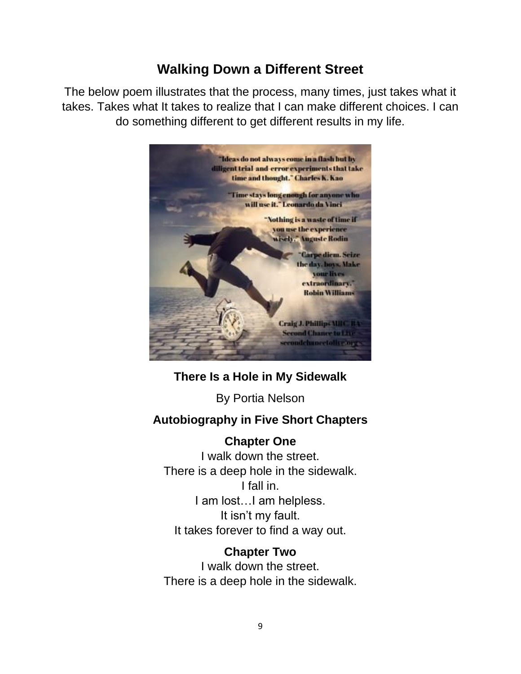## **Walking Down a Different Street**

The below poem illustrates that the process, many times, just takes what it takes. Takes what It takes to realize that I can make different choices. I can do something different to get different results in my life.



#### **There Is a Hole in My Sidewalk**

By Portia Nelson

#### **Autobiography in Five Short Chapters**

#### **Chapter One**

I walk down the street. There is a deep hole in the sidewalk. I fall in. I am lost…I am helpless. It isn't my fault. It takes forever to find a way out.

#### **Chapter Two**

I walk down the street. There is a deep hole in the sidewalk.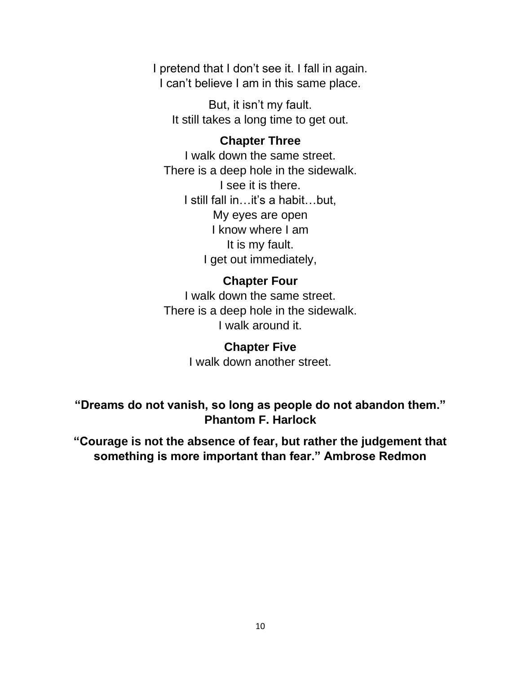I pretend that I don't see it. I fall in again. I can't believe I am in this same place.

But, it isn't my fault. It still takes a long time to get out.

#### **Chapter Three**

I walk down the same street. There is a deep hole in the sidewalk. I see it is there. I still fall in…it's a habit…but, My eyes are open I know where I am It is my fault. I get out immediately,

#### **Chapter Four**

I walk down the same street. There is a deep hole in the sidewalk. I walk around it.

> **Chapter Five** I walk down another street.

**"Dreams do not vanish, so long as people do not abandon them." Phantom F. Harlock**

**"Courage is not the absence of fear, but rather the judgement that something is more important than fear." Ambrose Redmon**